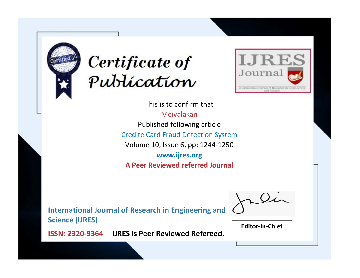



This is to confirm that Meiyalakan Published following article Credite Card Fraud Detection System Volume 10, Issue 6, pp: 1244-1250 **www.ijres.org A Peer Reviewed referred Journal**

**International Journal of Research in Engineering and Science (IJRES)**

\_\_\_\_\_\_\_\_\_\_\_\_\_\_\_\_\_\_\_\_\_\_\_\_ **Editor-In-Chief**

**Journal.**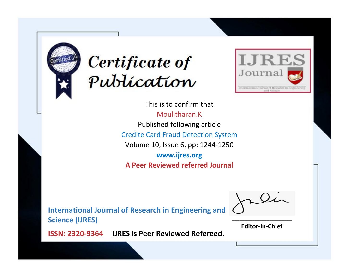



This is to confirm that Moulitharan.K Published following article Credite Card Fraud Detection System Volume 10, Issue 6, pp: 1244-1250 **www.ijres.org A Peer Reviewed referred Journal**

**International Journal of Research in Engineering and Science (IJRES)**

\_\_\_\_\_\_\_\_\_\_\_\_\_\_\_\_\_\_\_\_\_\_\_\_ **Editor-In-Chief**

**Journal.**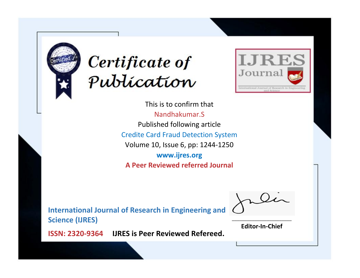



This is to confirm that Nandhakumar.S Published following article Credite Card Fraud Detection System Volume 10, Issue 6, pp: 1244-1250 **www.ijres.org A Peer Reviewed referred Journal**

**International Journal of Research in Engineering and Science (IJRES)**

\_\_\_\_\_\_\_\_\_\_\_\_\_\_\_\_\_\_\_\_\_\_\_\_ **Editor-In-Chief**

**Journal.**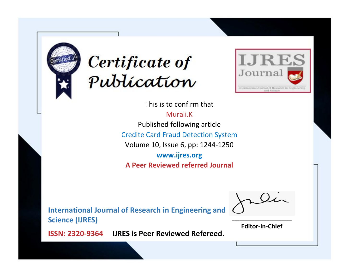



This is to confirm that Murali.K Published following article Credite Card Fraud Detection System Volume 10, Issue 6, pp: 1244-1250 **www.ijres.org A Peer Reviewed referred Journal**

**International Journal of Research in Engineering and Science (IJRES)**

\_\_\_\_\_\_\_\_\_\_\_\_\_\_\_\_\_\_\_\_\_\_\_\_ **Editor-In-Chief**

**Journal.**